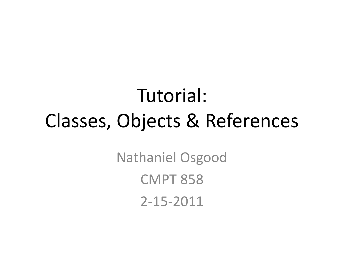# Tutorial: Classes, Objects & References

Nathaniel Osgood CMPT 858 2-15-2011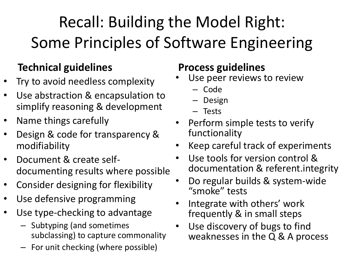Recall: Building the Model Right: Some Principles of Software Engineering

#### **Technical guidelines**

- Try to avoid needless complexity
- Use abstraction & encapsulation to simplify reasoning & development
- Name things carefully
- Design & code for transparency & modifiability
- Document & create selfdocumenting results where possible
- Consider designing for flexibility
- Use defensive programming
- Use type-checking to advantage
	- Subtyping (and sometimes subclassing) to capture commonality
	- For unit checking (where possible)

#### **Process guidelines**

- Use peer reviews to review
	- Code
	- Design
	- Tests
- Perform simple tests to verify functionality
- Keep careful track of experiments
- Use tools for version control & documentation & referent.integrity
- Do regular builds & system-wide "smoke" tests
- Integrate with others' work frequently & in small steps
- Use discovery of bugs to find weaknesses in the Q & A process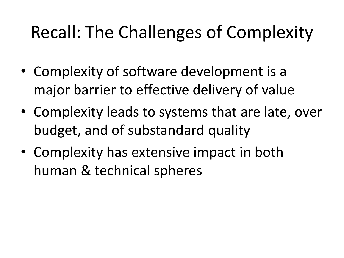#### Recall: The Challenges of Complexity

- Complexity of software development is a major barrier to effective delivery of value
- Complexity leads to systems that are late, over budget, and of substandard quality
- Complexity has extensive impact in both human & technical spheres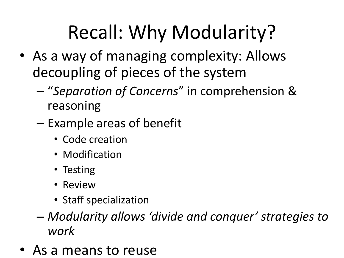# Recall: Why Modularity?

- As a way of managing complexity: Allows decoupling of pieces of the system
	- "*Separation of Concerns*" in comprehension & reasoning
	- Example areas of benefit
		- Code creation
		- Modification
		- Testing
		- Review
		- Staff specialization
	- *Modularity allows 'divide and conquer' strategies to work*
- As a means to reuse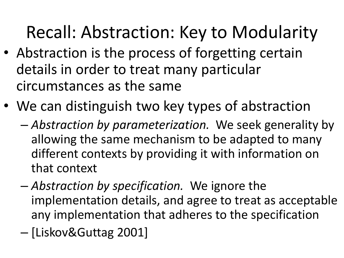#### Recall: Abstraction: Key to Modularity

- Abstraction is the process of forgetting certain details in order to treat many particular circumstances as the same
- We can distinguish two key types of abstraction
	- *Abstraction by parameterization.* We seek generality by allowing the same mechanism to be adapted to many different contexts by providing it with information on that context
	- *Abstraction by specification.* We ignore the implementation details, and agree to treat as acceptable any implementation that adheres to the specification
	- [Liskov&Guttag 2001]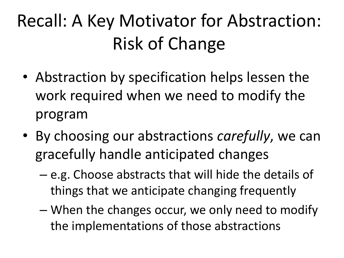# Recall: A Key Motivator for Abstraction: Risk of Change

- Abstraction by specification helps lessen the work required when we need to modify the program
- By choosing our abstractions *carefully*, we can gracefully handle anticipated changes
	- e.g. Choose abstracts that will hide the details of things that we anticipate changing frequently
	- When the changes occur, we only need to modify the implementations of those abstractions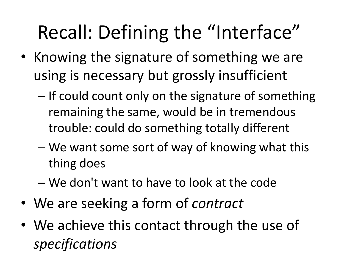# Recall: Defining the "Interface"

- Knowing the signature of something we are using is necessary but grossly insufficient
	- If could count only on the signature of something remaining the same, would be in tremendous trouble: could do something totally different
	- We want some sort of way of knowing what this thing does
	- We don't want to have to look at the code
- We are seeking a form of *contract*
- We achieve this contact through the use of *specifications*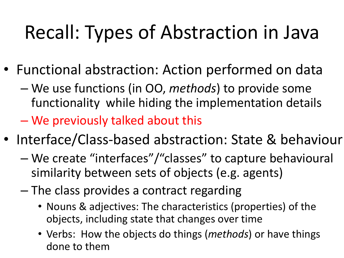# Recall: Types of Abstraction in Java

- Functional abstraction: Action performed on data
	- We use functions (in OO, *methods*) to provide some functionality while hiding the implementation details
	- We previously talked about this
- Interface/Class-based abstraction: State & behaviour
	- We create "interfaces"/"classes" to capture behavioural similarity between sets of objects (e.g. agents)
	- The class provides a contract regarding
		- Nouns & adjectives: The characteristics (properties) of the objects, including state that changes over time
		- Verbs: How the objects do things (*methods*) or have things done to them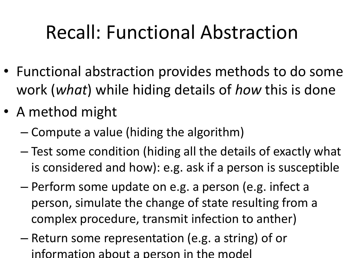# Recall: Functional Abstraction

- Functional abstraction provides methods to do some work (*what*) while hiding details of *how* this is done
- A method might
	- Compute a value (hiding the algorithm)
	- Test some condition (hiding all the details of exactly what is considered and how): e.g. ask if a person is susceptible
	- Perform some update on e.g. a person (e.g. infect a person, simulate the change of state resulting from a complex procedure, transmit infection to anther)
	- Return some representation (e.g. a string) of or information about a person in the model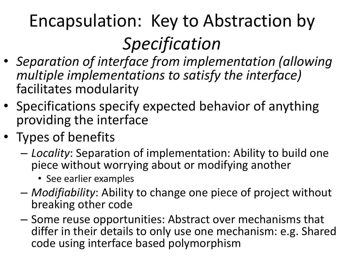# Encapsulation: Key to Abstraction by *Specification*

- *Separation of interface from implementation (allowing multiple implementations to satisfy the interface)*  facilitates modularity
- Specifications specify expected behavior of anything providing the interface
- Types of benefits
	- *Locality*: Separation of implementation: Ability to build one piece without worrying about or modifying another
		- See earlier examples
	- *Modifiability*: Ability to change one piece of project without breaking other code
	- Some reuse opportunities: Abstract over mechanisms that differ in their details to only use one mechanism: e.g. Shared code using interface based polymorphism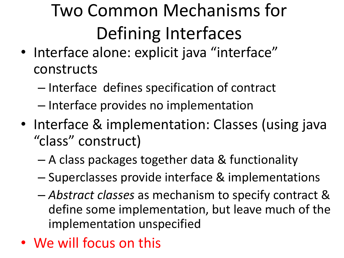# Two Common Mechanisms for Defining Interfaces

- Interface alone: explicit java "interface" constructs
	- Interface defines specification of contract
	- Interface provides no implementation
- Interface & implementation: Classes (using java "class" construct)
	- A class packages together data & functionality
	- Superclasses provide interface & implementations
	- *Abstract classes* as mechanism to specify contract & define some implementation, but leave much of the implementation unspecified
- We will focus on this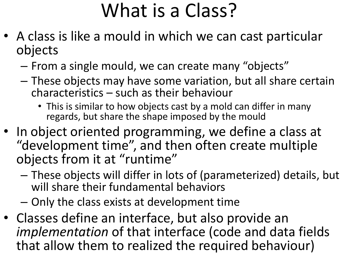## What is a Class?

- A class is like a mould in which we can cast particular objects
	- From a single mould, we can create many "objects"
	- These objects may have some variation, but all share certain characteristics – such as their behaviour
		- This is similar to how objects cast by a mold can differ in many regards, but share the shape imposed by the mould
- In object oriented programming, we define a class at "development time", and then often create multiple objects from it at "runtime"
	- These objects will differ in lots of (parameterized) details, but will share their fundamental behaviors
	- Only the class exists at development time
- Classes define an interface, but also provide an *implementation* of that interface (code and data fields that allow them to realized the required behaviour)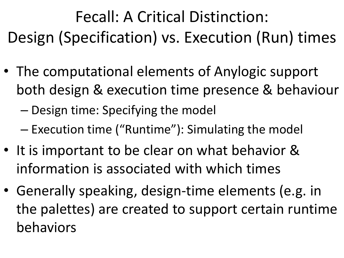Fecall: A Critical Distinction: Design (Specification) vs. Execution (Run) times

• The computational elements of Anylogic support both design & execution time presence & behaviour

– Design time: Specifying the model

- Execution time ("Runtime"): Simulating the model
- It is important to be clear on what behavior & information is associated with which times
- Generally speaking, design-time elements (e.g. in the palettes) are created to support certain runtime behaviors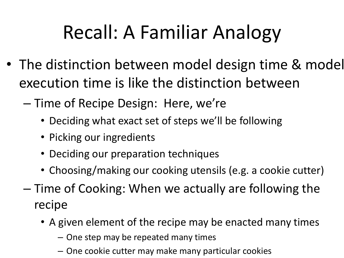# Recall: A Familiar Analogy

- The distinction between model design time & model execution time is like the distinction between
	- Time of Recipe Design: Here, we're
		- Deciding what exact set of steps we'll be following
		- Picking our ingredients
		- Deciding our preparation techniques
		- Choosing/making our cooking utensils (e.g. a cookie cutter)
	- Time of Cooking: When we actually are following the recipe
		- A given element of the recipe may be enacted many times
			- One step may be repeated many times
			- One cookie cutter may make many particular cookies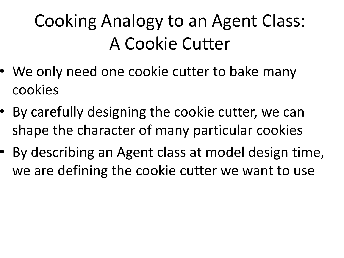### Cooking Analogy to an Agent Class: A Cookie Cutter

- We only need one cookie cutter to bake many cookies
- By carefully designing the cookie cutter, we can shape the character of many particular cookies
- By describing an Agent class at model design time, we are defining the cookie cutter we want to use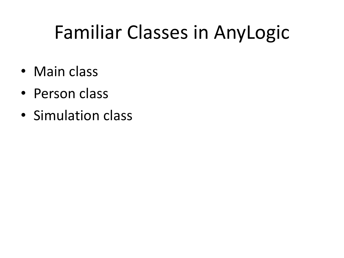# Familiar Classes in AnyLogic

- Main class
- Person class
- Simulation class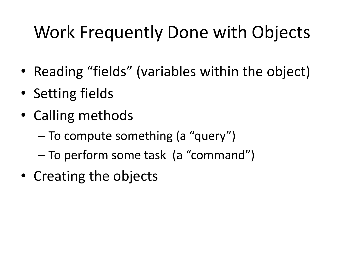#### Work Frequently Done with Objects

- Reading "fields" (variables within the object)
- Setting fields
- Calling methods
	- To compute something (a "query")
	- To perform some task (a "command")
- Creating the objects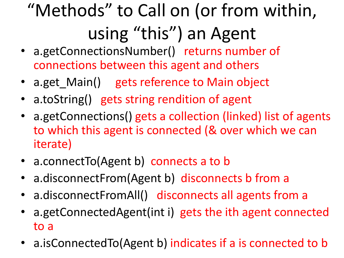# "Methods" to Call on (or from within, using "this") an Agent

- a.getConnectionsNumber() returns number of connections between this agent and others
- a.get\_Main() gets reference to Main object
- a.toString() gets string rendition of agent
- a.getConnections() gets a collection (linked) list of agents to which this agent is connected (& over which we can iterate)
- a.connectTo(Agent b) connects a to b
- a.disconnectFrom(Agent b) disconnects b from a
- a.disconnectFromAll() disconnects all agents from a
- a.getConnectedAgent(int i) gets the ith agent connected to a
- a.isConnectedTo(Agent b) indicates if a is connected to b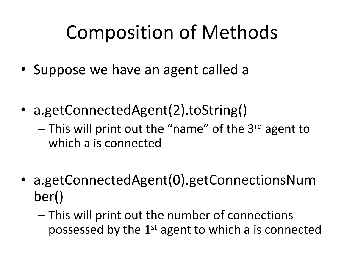# Composition of Methods

- Suppose we have an agent called a
- a.getConnectedAgent(2).toString()
	- $-$  This will print out the "name" of the 3<sup>rd</sup> agent to which a is connected
- a.getConnectedAgent(0).getConnectionsNum ber()
	- This will print out the number of connections possessed by the 1<sup>st</sup> agent to which a is connected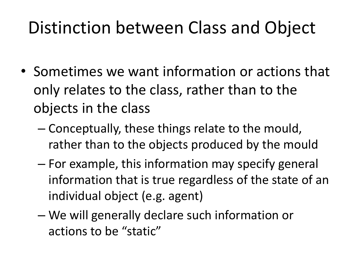#### Distinction between Class and Object

- Sometimes we want information or actions that only relates to the class, rather than to the objects in the class
	- Conceptually, these things relate to the mould, rather than to the objects produced by the mould
	- For example, this information may specify general information that is true regardless of the state of an individual object (e.g. agent)
	- We will generally declare such information or actions to be "static"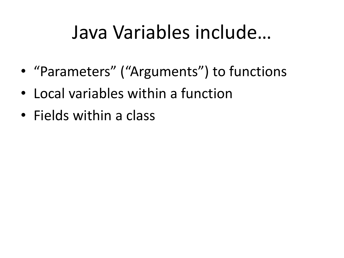#### Java Variables include…

- "Parameters" ("Arguments") to functions
- Local variables within a function
- Fields within a class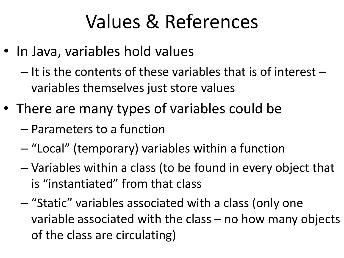# Values & References

- In Java, variables hold values
	- It is the contents of these variables that is of interest variables themselves just store values
- There are many types of variables could be
	- Parameters to a function
	- "Local" (temporary) variables within a function
	- Variables within a class (to be found in every object that is "instantiated" from that class
	- "Static" variables associated with a class (only one variable associated with the class – no how many objects of the class are circulating)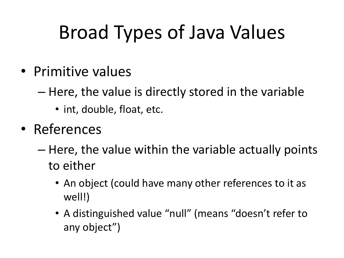# Broad Types of Java Values

- Primitive values
	- Here, the value is directly stored in the variable
		- int, double, float, etc.
- References
	- Here, the value within the variable actually points to either
		- An object (could have many other references to it as well!)
		- A distinguished value "null" (means "doesn't refer to any object")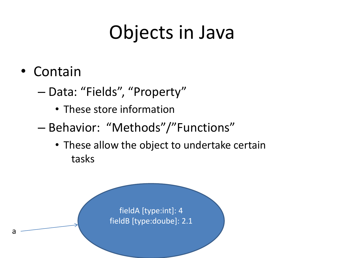# Objects in Java

- Contain
	- Data: "Fields", "Property"
		- These store information
	- Behavior: "Methods"/"Functions"
		- These allow the object to undertake certain tasks

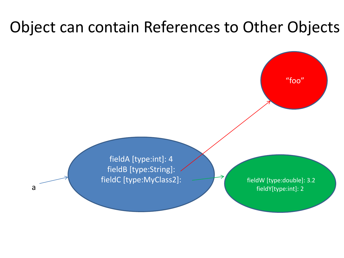#### Object can contain References to Other Objects



fieldA [type:int]: 4 fieldB [type:String]: fieldC [type:MyClass2]:

fieldW [type:double]: 3.2 fieldY[type:int]: 2

a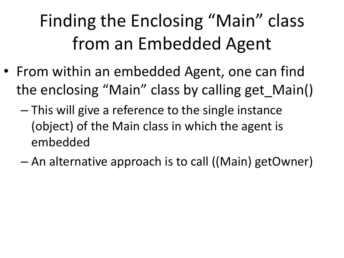# Finding the Enclosing "Main" class from an Embedded Agent

- From within an embedded Agent, one can find the enclosing "Main" class by calling get\_Main()
	- This will give a reference to the single instance (object) of the Main class in which the agent is embedded
	- An alternative approach is to call ((Main) getOwner)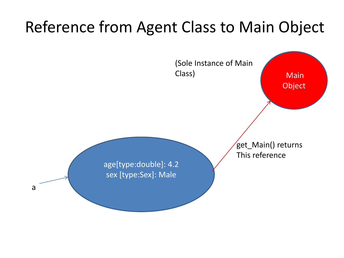#### Reference from Agent Class to Main Object

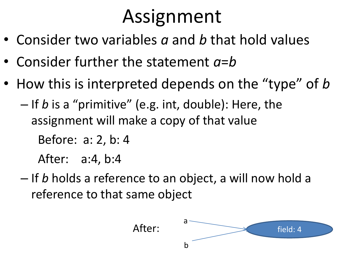# Assignment

- Consider two variables *a* and *b* that hold values
- Consider further the statement *a*=*b*
- How this is interpreted depends on the "type" of *b* – If *b* is a "primitive" (e.g. int, double): Here, the assignment will make a copy of that value

Before: a: 2, b: 4

After: a:4, b:4

– If *b* holds a reference to an object, a will now hold a reference to that same object

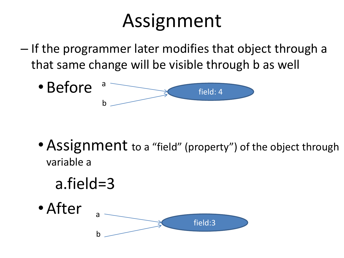# Assignment

– If the programmer later modifies that object through a that same change will be visible through b as well



• Assignment to a "field" (property") of the object through variable a

a.field=3

• After field:3 a b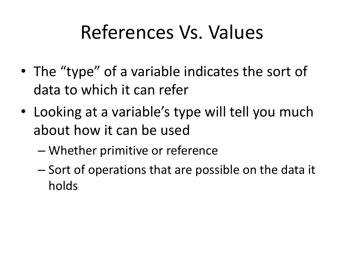#### References Vs. Values

- The "type" of a variable indicates the sort of data to which it can refer
- Looking at a variable's type will tell you much about how it can be used
	- Whether primitive or reference
	- Sort of operations that are possible on the data it holds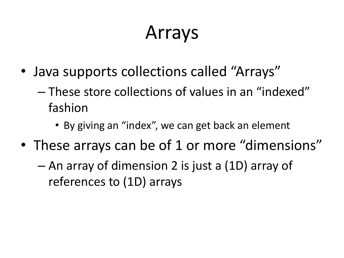# Arrays

- Java supports collections called "Arrays"
	- These store collections of values in an "indexed" fashion
		- By giving an "index", we can get back an element
- These arrays can be of 1 or more "dimensions"
	- An array of dimension 2 is just a (1D) array of references to (1D) arrays